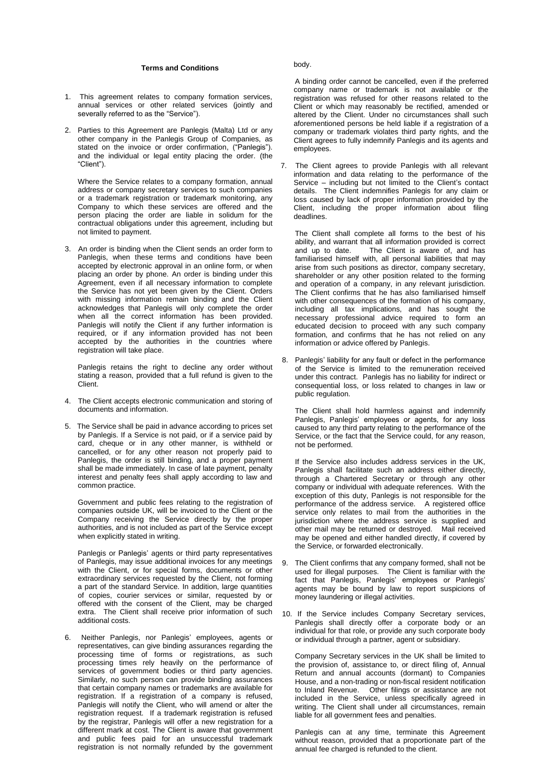## **Terms and Conditions**

- 1. This agreement relates to company formation services, annual services or other related services (jointly and severally referred to as the "Service").
- 2. Parties to this Agreement are Panlegis (Malta) Ltd or any other company in the Panlegis Group of Companies, as stated on the invoice or order confirmation, ("Panlegis"). and the individual or legal entity placing the order. (the "Client").

Where the Service relates to a company formation, annual address or company secretary services to such companies or a trademark registration or trademark monitoring, any Company to which these services are offered and the person placing the order are liable in solidum for the contractual obligations under this agreement, including but not limited to payment.

3. An order is binding when the Client sends an order form to Panlegis, when these terms and conditions have been accepted by electronic approval in an online form, or when placing an order by phone. An order is binding under this Agreement, even if all necessary information to complete the Service has not yet been given by the Client. Orders with missing information remain binding and the Client acknowledges that Panlegis will only complete the order when all the correct information has been provided. Panlegis will notify the Client if any further information is required, or if any information provided has not been accepted by the authorities in the countries where registration will take place.

Panlegis retains the right to decline any order without stating a reason, provided that a full refund is given to the Client.

- 4. The Client accepts electronic communication and storing of documents and information.
- 5. The Service shall be paid in advance according to prices set by Panlegis. If a Service is not paid, or if a service paid by card, cheque or in any other manner, is withheld or cancelled, or for any other reason not properly paid to Panlegis, the order is still binding, and a proper payment shall be made immediately. In case of late payment, penalty interest and penalty fees shall apply according to law and common practice.

Government and public fees relating to the registration of companies outside UK, will be invoiced to the Client or the Company receiving the Service directly by the proper authorities, and is not included as part of the Service except when explicitly stated in writing.

Panlegis or Panlegis' agents or third party representatives of Panlegis, may issue additional invoices for any meetings with the Client, or for special forms, documents or other extraordinary services requested by the Client, not forming a part of the standard Service. In addition, large quantities of copies, courier services or similar, requested by or offered with the consent of the Client, may be charged extra. The Client shall receive prior information of such additional costs.

6. Neither Panlegis, nor Panlegis' employees, agents or representatives, can give binding assurances regarding the processing time of forms or registrations, as such processing times rely heavily on the performance of services of government bodies or third party agencies. Similarly, no such person can provide binding assurances that certain company names or trademarks are available for registration. If a registration of a company is refused, Panlegis will notify the Client, who will amend or alter the registration request. If a trademark registration is refused by the registrar, Panlegis will offer a new registration for a different mark at cost. The Client is aware that government and public fees paid for an unsuccessful trademark registration is not normally refunded by the government

## body.

A binding order cannot be cancelled, even if the preferred company name or trademark is not available or the registration was refused for other reasons related to the Client or which may reasonably be rectified, amended or altered by the Client. Under no circumstances shall such aforementioned persons be held liable if a registration of a company or trademark violates third party rights, and the Client agrees to fully indemnify Panlegis and its agents and employees.

7. The Client agrees to provide Panlegis with all relevant information and data relating to the performance of the Service – including but not limited to the Client's contact details. The Client indemnifies Panlegis for any claim or loss caused by lack of proper information provided by the Client, including the proper information about filing deadlines.

The Client shall complete all forms to the best of his ability, and warrant that all information provided is correct and up to date. The Client is aware of, and has The Client is aware of, and has familiarised himself with, all personal liabilities that may arise from such positions as director, company secretary, shareholder or any other position related to the forming and operation of a company, in any relevant jurisdiction. The Client confirms that he has also familiarised himself with other consequences of the formation of his company, including all tax implications, and has sought the necessary professional advice required to form an educated decision to proceed with any such company formation, and confirms that he has not relied on any information or advice offered by Panlegis.

8. Panlegis' liability for any fault or defect in the performance of the Service is limited to the remuneration received under this contract. Panlegis has no liability for indirect or consequential loss, or loss related to changes in law or public regulation.

The Client shall hold harmless against and indemnify Panlegis, Panlegis' employees or agents, for any loss caused to any third party relating to the performance of the Service, or the fact that the Service could, for any reason, not be performed.

If the Service also includes address services in the UK, Panlegis shall facilitate such an address either directly, through a Chartered Secretary or through any other company or individual with adequate references. With the exception of this duty, Panlegis is not responsible for the performance of the address service. A registered office service only relates to mail from the authorities in the jurisdiction where the address service is supplied and other mail may be returned or destroyed. Mail received may be opened and either handled directly, if covered by the Service, or forwarded electronically.

- The Client confirms that any company formed, shall not be used for illegal purposes. The Client is familiar with the fact that Panlegis, Panlegis' employees or Panlegis' agents may be bound by law to report suspicions of money laundering or illegal activities.
- 10. If the Service includes Company Secretary services, Panlegis shall directly offer a corporate body or an individual for that role, or provide any such corporate body or individual through a partner, agent or subsidiary.

Company Secretary services in the UK shall be limited to the provision of, assistance to, or direct filing of, Annual Return and annual accounts (dormant) to Companies House, and a non-trading or non-fiscal resident notification to Inland Revenue. Other filings or assistance are not included in the Service, unless specifically agreed in writing. The Client shall under all circumstances, remain liable for all government fees and penalties.

Panlegis can at any time, terminate this Agreement without reason, provided that a proportionate part of the annual fee charged is refunded to the client.